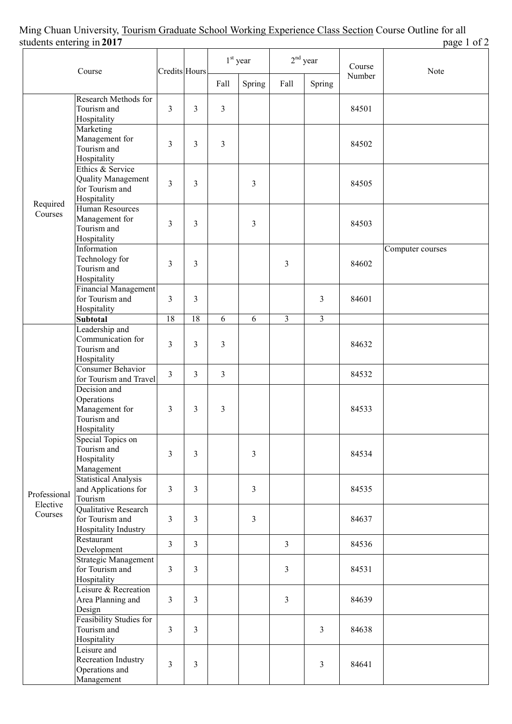## Ming Chuan University, Tourism Graduate School Working Experience Class Section Course Outline for all students entering in 2017 **page 1** of 2

| $\cdots$ $\cdots$<br>Course         |                                                                            | <b>Credits Hours</b> |                | $1st$ year              |                         | $2nd$ year              |                         | Course | $\ddot{\phantom{0}}$<br>Note |
|-------------------------------------|----------------------------------------------------------------------------|----------------------|----------------|-------------------------|-------------------------|-------------------------|-------------------------|--------|------------------------------|
|                                     |                                                                            |                      |                | Fall                    | Spring                  | Fall                    | Spring                  | Number |                              |
| Required<br>Courses                 | Research Methods for<br>Tourism and<br>Hospitality                         | $\overline{3}$       | 3              | $\overline{\mathbf{3}}$ |                         |                         |                         | 84501  |                              |
|                                     | Marketing<br>Management for<br>Tourism and<br>Hospitality                  | $\overline{3}$       | $\overline{3}$ | $\overline{3}$          |                         |                         |                         | 84502  |                              |
|                                     | Ethics & Service<br>Quality Management<br>for Tourism and<br>Hospitality   | $\overline{3}$       | 3              |                         | $\overline{3}$          |                         |                         | 84505  |                              |
|                                     | <b>Human Resources</b><br>Management for<br>Tourism and<br>Hospitality     | $\overline{3}$       | 3              |                         | 3                       |                         |                         | 84503  |                              |
|                                     | Information<br>Technology for<br>Tourism and<br>Hospitality                | 3                    | 3              |                         |                         | 3                       |                         | 84602  | Computer courses             |
|                                     | <b>Financial Management</b><br>for Tourism and<br>Hospitality              | $\overline{3}$       | $\overline{3}$ |                         |                         |                         | 3                       | 84601  |                              |
|                                     | Subtotal                                                                   | 18                   | 18             | 6                       | 6                       | $\overline{\mathbf{3}}$ | $\overline{\mathbf{3}}$ |        |                              |
| Professional<br>Elective<br>Courses | Leadership and<br>Communication for<br>Tourism and<br>Hospitality          | 3                    | 3              | 3                       |                         |                         |                         | 84632  |                              |
|                                     | <b>Consumer Behavior</b><br>for Tourism and Travel                         | $\overline{3}$       | $\overline{3}$ | $\overline{3}$          |                         |                         |                         | 84532  |                              |
|                                     | Decision and<br>Operations<br>Management for<br>Tourism and<br>Hospitality | 3                    | 3              | 3                       |                         |                         |                         | 84533  |                              |
|                                     | Special Topics on<br>Tourism and<br>Hospitality<br>Management              | $\overline{3}$       | $\overline{3}$ |                         | $\overline{3}$          |                         |                         | 84534  |                              |
|                                     | <b>Statistical Analysis</b><br>and Applications for<br>Tourism             | $\overline{3}$       | 3              |                         | $\overline{3}$          |                         |                         | 84535  |                              |
|                                     | Qualitative Research<br>for Tourism and<br>Hospitality Industry            | $\overline{3}$       | 3              |                         | $\overline{\mathbf{3}}$ |                         |                         | 84637  |                              |
|                                     | Restaurant<br>Development                                                  | $\overline{3}$       | $\overline{3}$ |                         |                         | $\overline{3}$          |                         | 84536  |                              |
|                                     | <b>Strategic Management</b><br>for Tourism and<br>Hospitality              | $\mathfrak{Z}$       | 3              |                         |                         | $\overline{3}$          |                         | 84531  |                              |
|                                     | Leisure & Recreation<br>Area Planning and<br>Design                        | $\overline{3}$       | 3              |                         |                         | $\overline{3}$          |                         | 84639  |                              |
|                                     | <b>Feasibility Studies for</b><br>Tourism and<br>Hospitality               | $\overline{3}$       | 3              |                         |                         |                         | 3                       | 84638  |                              |
|                                     | Leisure and<br><b>Recreation Industry</b><br>Operations and<br>Management  | $\overline{3}$       | 3              |                         |                         |                         | 3                       | 84641  |                              |